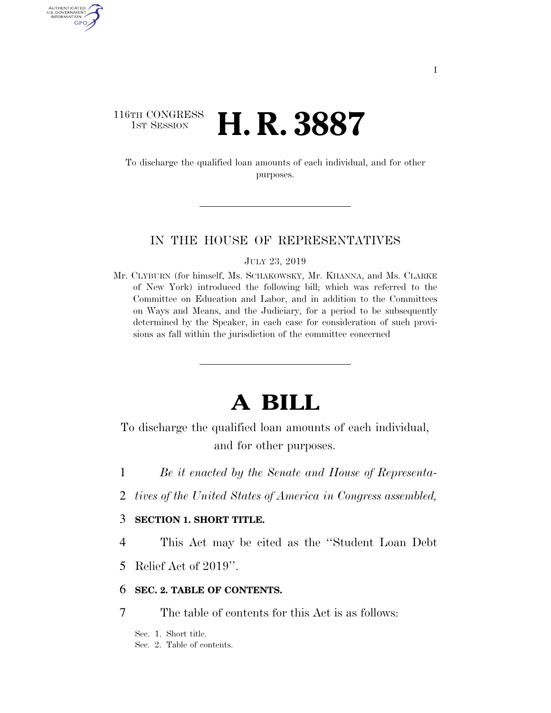### 116TH CONGRESS **1st Session H. R. 3887**

AUTHENTICATED U.S. GOVERNMENT GPO

> To discharge the qualified loan amounts of each individual, and for other purposes.

### IN THE HOUSE OF REPRESENTATIVES

JULY 23, 2019

Mr. CLYBURN (for himself, Ms. SCHAKOWSKY, Mr. KHANNA, and Ms. CLARKE of New York) introduced the following bill; which was referred to the Committee on Education and Labor, and in addition to the Committees on Ways and Means, and the Judiciary, for a period to be subsequently determined by the Speaker, in each case for consideration of such provisions as fall within the jurisdiction of the committee concerned

# **A BILL**

To discharge the qualified loan amounts of each individual, and for other purposes.

- 1 *Be it enacted by the Senate and House of Representa-*
- 2 *tives of the United States of America in Congress assembled,*

### 3 **SECTION 1. SHORT TITLE.**

4 This Act may be cited as the ''Student Loan Debt

5 Relief Act of 2019''.

### 6 **SEC. 2. TABLE OF CONTENTS.**

7 The table of contents for this Act is as follows:

Sec. 1. Short title. Sec. 2. Table of contents.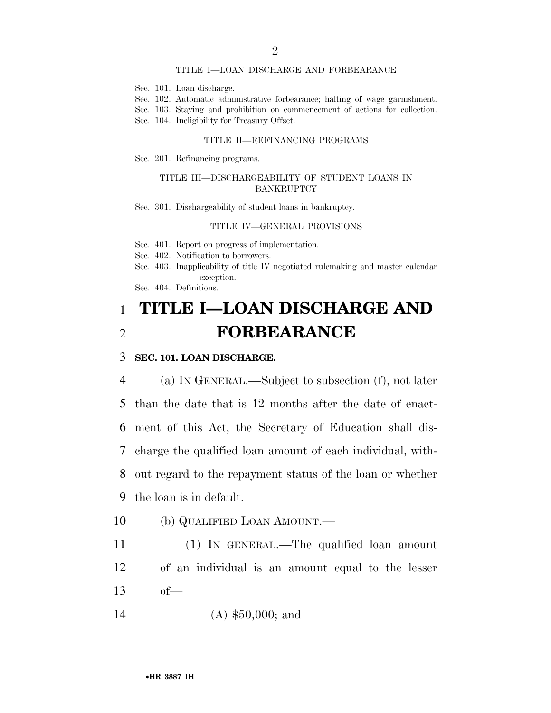#### TITLE I—LOAN DISCHARGE AND FORBEARANCE

- Sec. 101. Loan discharge.
- Sec. 102. Automatic administrative forbearance; halting of wage garnishment.
- Sec. 103. Staying and prohibition on commencement of actions for collection.
- Sec. 104. Ineligibility for Treasury Offset.

#### TITLE II—REFINANCING PROGRAMS

Sec. 201. Refinancing programs.

#### TITLE III—DISCHARGEABILITY OF STUDENT LOANS IN BANKRUPTCY

Sec. 301. Dischargeability of student loans in bankruptcy.

#### TITLE IV—GENERAL PROVISIONS

Sec. 401. Report on progress of implementation.

Sec. 402. Notification to borrowers.

- Sec. 403. Inapplicability of title IV negotiated rulemaking and master calendar exception.
- Sec. 404. Definitions.

## 1 **TITLE I—LOAN DISCHARGE AND**  2 **FORBEARANCE**

### 3 **SEC. 101. LOAN DISCHARGE.**

 (a) IN GENERAL.—Subject to subsection (f), not later than the date that is 12 months after the date of enact- ment of this Act, the Secretary of Education shall dis- charge the qualified loan amount of each individual, with- out regard to the repayment status of the loan or whether the loan is in default.

- 10 (b) QUALIFIED LOAN AMOUNT.—
- 11 (1) IN GENERAL.—The qualified loan amount 12 of an individual is an amount equal to the lesser  $13 \tof$
- 14 (A) \$50,000; and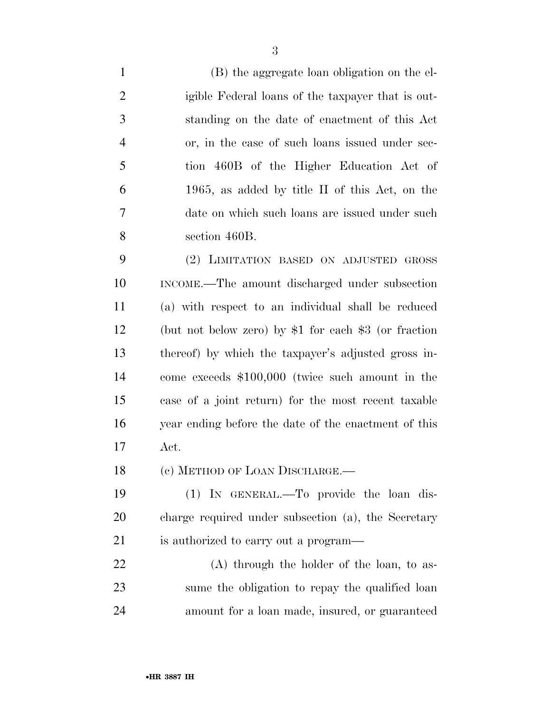(B) the aggregate loan obligation on the el- igible Federal loans of the taxpayer that is out- standing on the date of enactment of this Act or, in the case of such loans issued under sec- tion 460B of the Higher Education Act of 1965, as added by title II of this Act, on the date on which such loans are issued under such section 460B.

 (2) LIMITATION BASED ON ADJUSTED GROSS INCOME.—The amount discharged under subsection (a) with respect to an individual shall be reduced (but not below zero) by \$1 for each \$3 (or fraction thereof) by which the taxpayer's adjusted gross in- come exceeds \$100,000 (twice such amount in the case of a joint return) for the most recent taxable year ending before the date of the enactment of this Act.

18 (c) METHOD OF LOAN DISCHARGE.—

 (1) IN GENERAL.—To provide the loan dis- charge required under subsection (a), the Secretary is authorized to carry out a program—

 (A) through the holder of the loan, to as- sume the obligation to repay the qualified loan amount for a loan made, insured, or guaranteed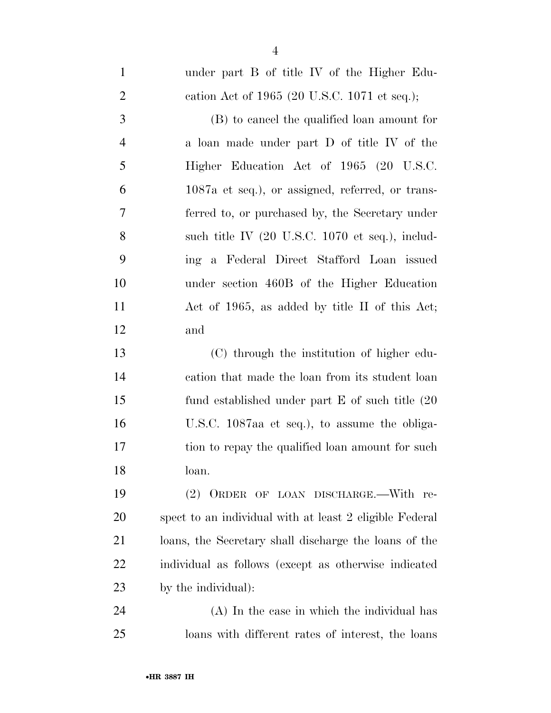| $\mathbf{1}$   | under part B of title IV of the Higher Edu-                       |
|----------------|-------------------------------------------------------------------|
| $\overline{2}$ | cation Act of $1965$ (20 U.S.C. 1071 et seq.);                    |
| 3              | (B) to cancel the qualified loan amount for                       |
| $\overline{4}$ | a loan made under part D of title IV of the                       |
| 5              | Higher Education Act of 1965 (20 U.S.C.                           |
| 6              | 1087a et seq.), or assigned, referred, or trans-                  |
| 7              | ferred to, or purchased by, the Secretary under                   |
| 8              | such title IV $(20 \text{ U.S.C. } 1070 \text{ et seq.}), \text{$ |
| 9              | ing a Federal Direct Stafford Loan issued                         |
| 10             | under section 460B of the Higher Education                        |
| 11             | Act of 1965, as added by title II of this Act;                    |
| 12             | and                                                               |
| 13             | (C) through the institution of higher edu-                        |
| 14             | cation that made the loan from its student loan                   |
| 15             | fund established under part $E$ of such title $(20)$              |
| 16             | U.S.C. 1087aa et seq.), to assume the obliga-                     |
| 17             | tion to repay the qualified loan amount for such                  |
| 18             | loan.                                                             |
| 19             | (2) ORDER OF LOAN DISCHARGE.—With re-                             |
| 20             | spect to an individual with at least 2 eligible Federal           |
| 21             | loans, the Secretary shall discharge the loans of the             |
| <u>22</u>      | individual as follows (except as otherwise indicated              |
| 23             | by the individual):                                               |
| 24             | (A) In the case in which the individual has                       |
| 25             | loans with different rates of interest, the loans                 |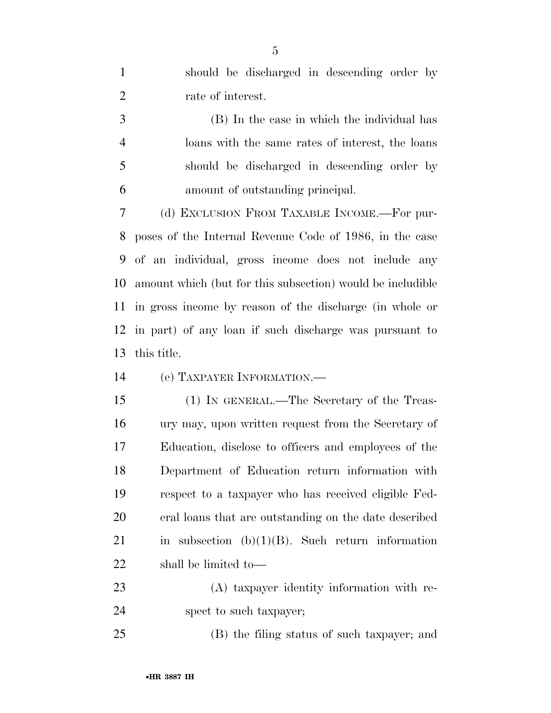| $\mathbf{1}$   | should be discharged in descending order by                |
|----------------|------------------------------------------------------------|
| $\overline{2}$ | rate of interest.                                          |
| 3              | (B) In the case in which the individual has                |
| $\overline{4}$ | loans with the same rates of interest, the loans           |
| 5              | should be discharged in descending order by                |
| 6              | amount of outstanding principal.                           |
| 7              | (d) EXCLUSION FROM TAXABLE INCOME.—For pur-                |
| 8              | poses of the Internal Revenue Code of 1986, in the case    |
| 9              | of an individual, gross income does not include any        |
| 10             | amount which (but for this subsection) would be includible |
| 11             | in gross income by reason of the discharge (in whole or    |
| 12             | in part) of any loan if such discharge was pursuant to     |
| 13             | this title.                                                |
| 14             | (e) TAXPAYER INFORMATION.—                                 |
| 15             | (1) IN GENERAL.—The Secretary of the Treas-                |
| 16             | ury may, upon written request from the Secretary of        |
| 17             | Education, disclose to officers and employees of the       |
| 18             | Department of Education return information with            |
| 19             | respect to a taxpayer who has received eligible Fed-       |
| 20             | eral loans that are outstanding on the date described      |
| 21             | in subsection $(b)(1)(B)$ . Such return information        |
| 22             | shall be limited to—                                       |
| 23             | (A) taxpayer identity information with re-                 |
| 24             | spect to such taxpayer;                                    |
| 25             | (B) the filing status of such taxpayer; and                |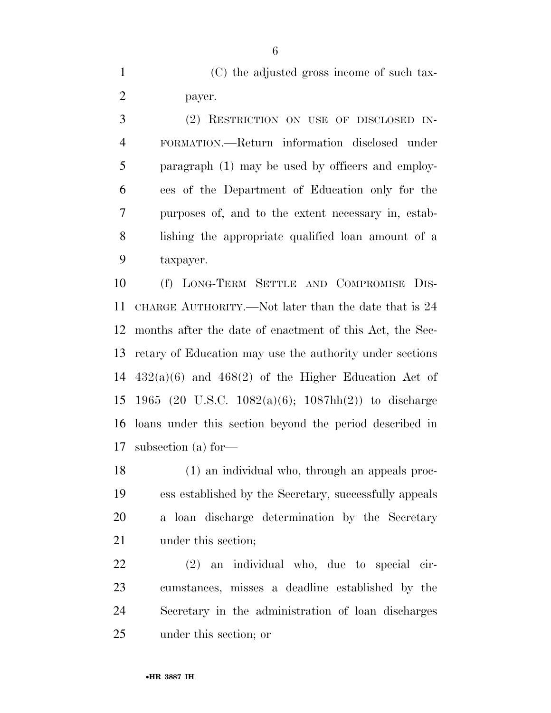(C) the adjusted gross income of such tax-payer.

 (2) RESTRICTION ON USE OF DISCLOSED IN- FORMATION.—Return information disclosed under paragraph (1) may be used by officers and employ- ees of the Department of Education only for the purposes of, and to the extent necessary in, estab- lishing the appropriate qualified loan amount of a taxpayer.

 (f) LONG-TERM SETTLE AND COMPROMISE DIS- CHARGE AUTHORITY.—Not later than the date that is 24 months after the date of enactment of this Act, the Sec- retary of Education may use the authority under sections  $432(a)(6)$  and  $468(2)$  of the Higher Education Act of 1965 (20 U.S.C. 1082(a)(6); 1087hh(2)) to discharge loans under this section beyond the period described in subsection (a) for—

 (1) an individual who, through an appeals proc- ess established by the Secretary, successfully appeals a loan discharge determination by the Secretary 21 under this section;

 (2) an individual who, due to special cir- cumstances, misses a deadline established by the Secretary in the administration of loan discharges under this section; or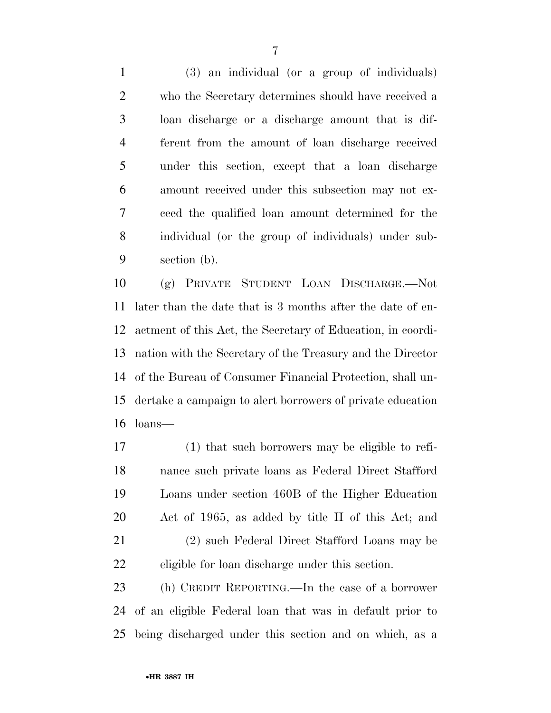(3) an individual (or a group of individuals) who the Secretary determines should have received a loan discharge or a discharge amount that is dif- ferent from the amount of loan discharge received under this section, except that a loan discharge amount received under this subsection may not ex- ceed the qualified loan amount determined for the individual (or the group of individuals) under sub-section (b).

 (g) PRIVATE STUDENT LOAN DISCHARGE.—Not later than the date that is 3 months after the date of en- actment of this Act, the Secretary of Education, in coordi- nation with the Secretary of the Treasury and the Director of the Bureau of Consumer Financial Protection, shall un- dertake a campaign to alert borrowers of private education loans—

 (1) that such borrowers may be eligible to refi- nance such private loans as Federal Direct Stafford Loans under section 460B of the Higher Education Act of 1965, as added by title II of this Act; and (2) such Federal Direct Stafford Loans may be eligible for loan discharge under this section.

 (h) CREDIT REPORTING.—In the case of a borrower of an eligible Federal loan that was in default prior to being discharged under this section and on which, as a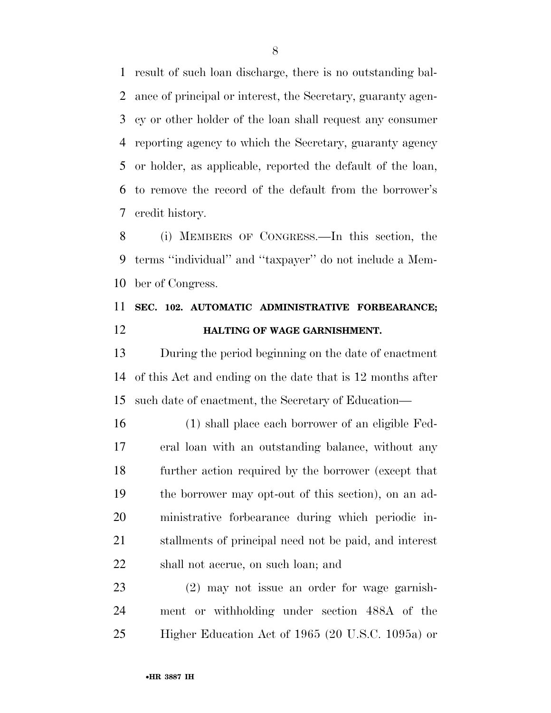result of such loan discharge, there is no outstanding bal- ance of principal or interest, the Secretary, guaranty agen- cy or other holder of the loan shall request any consumer reporting agency to which the Secretary, guaranty agency or holder, as applicable, reported the default of the loan, to remove the record of the default from the borrower's credit history.

 (i) MEMBERS OF CONGRESS.—In this section, the terms ''individual'' and ''taxpayer'' do not include a Mem-ber of Congress.

## **SEC. 102. AUTOMATIC ADMINISTRATIVE FORBEARANCE; HALTING OF WAGE GARNISHMENT.**

 During the period beginning on the date of enactment of this Act and ending on the date that is 12 months after such date of enactment, the Secretary of Education—

 (1) shall place each borrower of an eligible Fed- eral loan with an outstanding balance, without any further action required by the borrower (except that the borrower may opt-out of this section), on an ad- ministrative forbearance during which periodic in- stallments of principal need not be paid, and interest shall not accrue, on such loan; and

 (2) may not issue an order for wage garnish- ment or withholding under section 488A of the Higher Education Act of 1965 (20 U.S.C. 1095a) or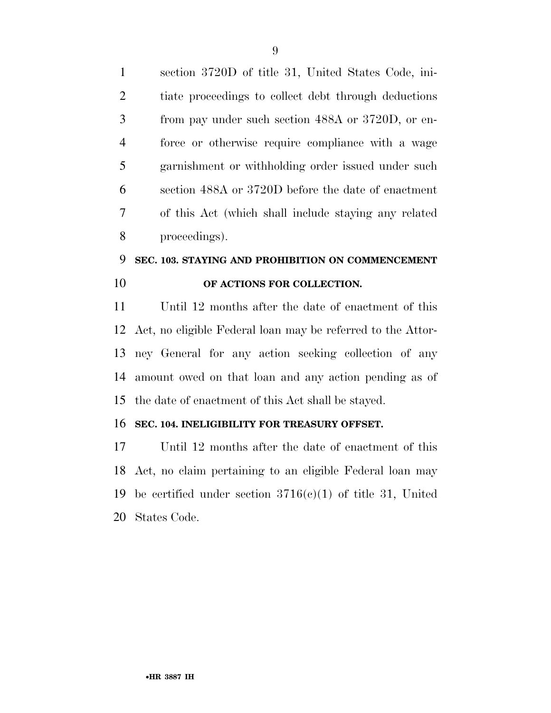section 3720D of title 31, United States Code, ini- tiate proceedings to collect debt through deductions from pay under such section 488A or 3720D, or en- force or otherwise require compliance with a wage garnishment or withholding order issued under such section 488A or 3720D before the date of enactment of this Act (which shall include staying any related proceedings).

## **SEC. 103. STAYING AND PROHIBITION ON COMMENCEMENT OF ACTIONS FOR COLLECTION.**

 Until 12 months after the date of enactment of this Act, no eligible Federal loan may be referred to the Attor- ney General for any action seeking collection of any amount owed on that loan and any action pending as of the date of enactment of this Act shall be stayed.

### **SEC. 104. INELIGIBILITY FOR TREASURY OFFSET.**

 Until 12 months after the date of enactment of this Act, no claim pertaining to an eligible Federal loan may be certified under section 3716(c)(1) of title 31, United States Code.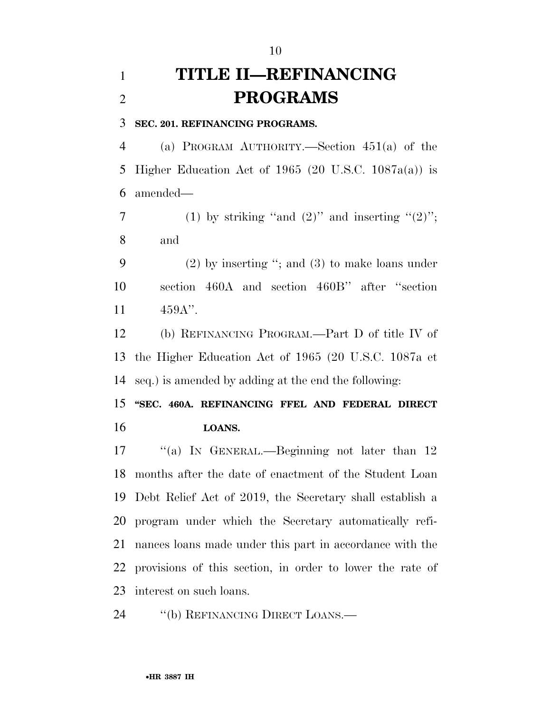## **TITLE II—REFINANCING PROGRAMS**

**SEC. 201. REFINANCING PROGRAMS.** 

 (a) PROGRAM AUTHORITY.—Section 451(a) of the Higher Education Act of 1965 (20 U.S.C. 1087a(a)) is amended—

7 (1) by striking "and  $(2)$ " and inserting " $(2)$ "; and

 (2) by inserting ''; and (3) to make loans under section 460A and section 460B'' after ''section 459A''.

 (b) REFINANCING PROGRAM.—Part D of title IV of the Higher Education Act of 1965 (20 U.S.C. 1087a et seq.) is amended by adding at the end the following:

 **''SEC. 460A. REFINANCING FFEL AND FEDERAL DIRECT LOANS.** 

17 "(a) IN GENERAL.—Beginning not later than 12 months after the date of enactment of the Student Loan Debt Relief Act of 2019, the Secretary shall establish a program under which the Secretary automatically refi- nances loans made under this part in accordance with the provisions of this section, in order to lower the rate of interest on such loans.

24 "(b) REFINANCING DIRECT LOANS.—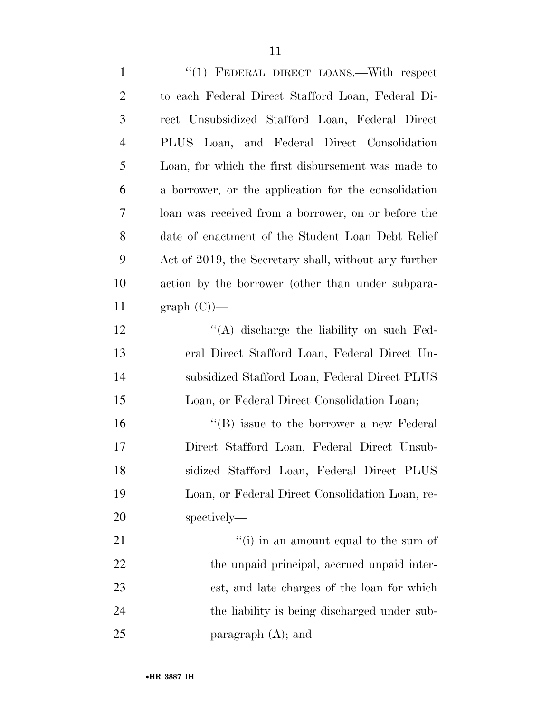| $\mathbf{1}$   | "(1) FEDERAL DIRECT LOANS.—With respect               |
|----------------|-------------------------------------------------------|
| $\overline{2}$ | to each Federal Direct Stafford Loan, Federal Di-     |
| 3              | rect Unsubsidized Stafford Loan, Federal Direct       |
| 4              | PLUS Loan, and Federal Direct Consolidation           |
| 5              | Loan, for which the first disbursement was made to    |
| 6              | a borrower, or the application for the consolidation  |
| 7              | loan was received from a borrower, on or before the   |
| 8              | date of enactment of the Student Loan Debt Relief     |
| 9              | Act of 2019, the Secretary shall, without any further |
| 10             | action by the borrower (other than under subpara-     |
| 11             | $graph(C)$ —                                          |
| 12             | $\lq\lq$ discharge the liability on such Fed-         |
| 13             | eral Direct Stafford Loan, Federal Direct Un-         |
| 14             | subsidized Stafford Loan, Federal Direct PLUS         |
| 15             | Loan, or Federal Direct Consolidation Loan;           |
| 16             | $\lq\lq (B)$ issue to the borrower a new Federal      |
| 17             | Direct Stafford Loan, Federal Direct Unsub-           |
| 18             | sidized Stafford Loan, Federal Direct PLUS            |
| 19             | Loan, or Federal Direct Consolidation Loan, re-       |
| 20             | spectively—                                           |
| 21             | "(i) in an amount equal to the sum of                 |
| 22             | the unpaid principal, accrued unpaid inter-           |
| 23             | est, and late charges of the loan for which           |
| 24             | the liability is being discharged under sub-          |
| 25             | paragraph $(A)$ ; and                                 |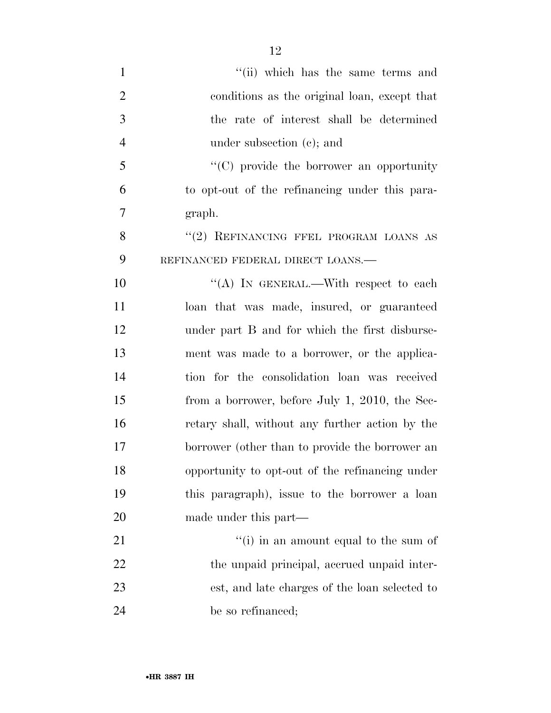| $\mathbf{1}$   | "(ii) which has the same terms and               |
|----------------|--------------------------------------------------|
| $\overline{2}$ | conditions as the original loan, except that     |
| 3              | the rate of interest shall be determined         |
| $\overline{4}$ | under subsection $(c)$ ; and                     |
| 5              | $\lq\lq$ (C) provide the borrower an opportunity |
| 6              | to opt-out of the refinancing under this para-   |
| 7              | graph.                                           |
| 8              | "(2) REFINANCING FFEL PROGRAM LOANS AS           |
| 9              | REFINANCED FEDERAL DIRECT LOANS.-                |
| 10             | "(A) IN GENERAL.—With respect to each            |
| 11             | loan that was made, insured, or guaranteed       |
| 12             | under part B and for which the first disburse-   |
| 13             | ment was made to a borrower, or the applica-     |
| 14             | tion for the consolidation loan was received     |
| 15             | from a borrower, before July 1, 2010, the Sec-   |
| 16             | retary shall, without any further action by the  |
| 17             | borrower (other than to provide the borrower an  |
| 18             | opportunity to opt-out of the refinancing under  |
| 19             | this paragraph), issue to the borrower a loan    |
| 20             | made under this part—                            |
| 21             | $f'(i)$ in an amount equal to the sum of         |
| 22             | the unpaid principal, accrued unpaid inter-      |
| 23             | est, and late charges of the loan selected to    |
| 24             | be so refinanced;                                |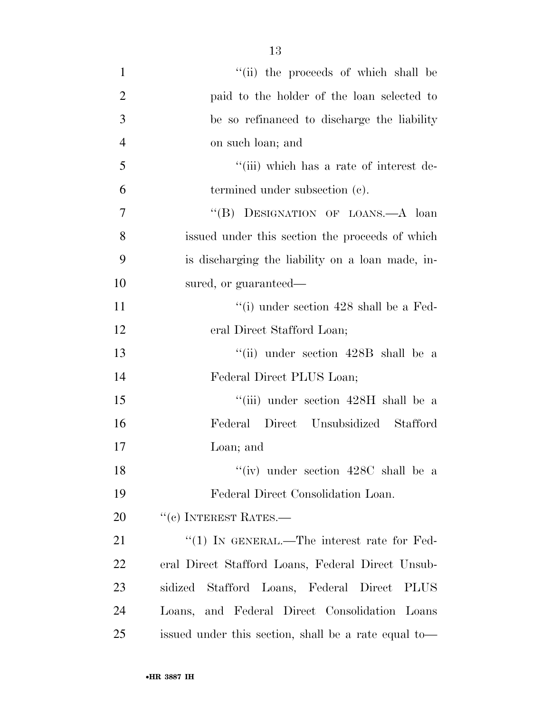1 ''(ii) the proceeds of which shall be paid to the holder of the loan selected to be so refinanced to discharge the liability on such loan; and ''(iii) which has a rate of interest de- termined under subsection (c). 7 "(B) DESIGNATION OF LOANS.—A loan issued under this section the proceeds of which is discharging the liability on a loan made, in- sured, or guaranteed— 11 ''(i) under section 428 shall be a Fed- eral Direct Stafford Loan; ''(ii) under section 428B shall be a Federal Direct PLUS Loan; ''(iii) under section 428H shall be a Federal Direct Unsubsidized Stafford Loan; and 18 ''(iv) under section 428C shall be a Federal Direct Consolidation Loan. 20 <sup>''</sup>(c) INTEREST RATES.— 21 "(1) IN GENERAL.—The interest rate for Fed- eral Direct Stafford Loans, Federal Direct Unsub- sidized Stafford Loans, Federal Direct PLUS Loans, and Federal Direct Consolidation Loans

issued under this section, shall be a rate equal to—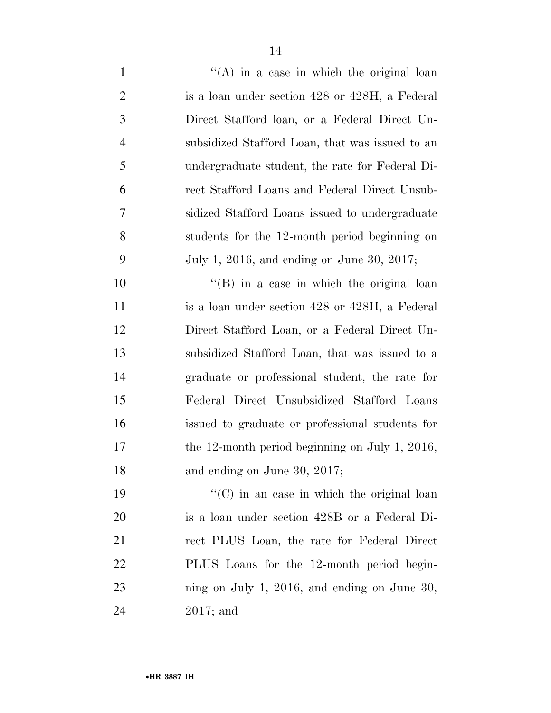| $\mathbf{1}$   | $\lq\lq$ in a case in which the original loan      |
|----------------|----------------------------------------------------|
| $\overline{2}$ | is a loan under section 428 or 428H, a Federal     |
| 3              | Direct Stafford loan, or a Federal Direct Un-      |
| $\overline{4}$ | subsidized Stafford Loan, that was issued to an    |
| 5              | undergraduate student, the rate for Federal Di-    |
| 6              | rect Stafford Loans and Federal Direct Unsub-      |
| 7              | sidized Stafford Loans issued to undergraduate     |
| 8              | students for the 12-month period beginning on      |
| 9              | July 1, 2016, and ending on June 30, 2017;         |
| 10             | $\lq\lq (B)$ in a case in which the original loan  |
| 11             | is a loan under section 428 or 428H, a Federal     |
| 12             | Direct Stafford Loan, or a Federal Direct Un-      |
| 13             | subsidized Stafford Loan, that was issued to a     |
| 14             | graduate or professional student, the rate for     |
| 15             | Federal Direct Unsubsidized Stafford Loans         |
| 16             | issued to graduate or professional students for    |
| 17             | the 12-month period beginning on July 1, 2016,     |
| 18             | and ending on June 30, 2017;                       |
| 19             | $\lq\lq$ (C) in an case in which the original loan |
| <b>20</b>      | is a loan under section 428B or a Federal Di-      |
| 21             | rect PLUS Loan, the rate for Federal Direct        |
| <u>22</u>      | PLUS Loans for the 12-month period begin-          |
| 23             | ning on July 1, 2016, and ending on June 30,       |
| 24             | $2017$ ; and                                       |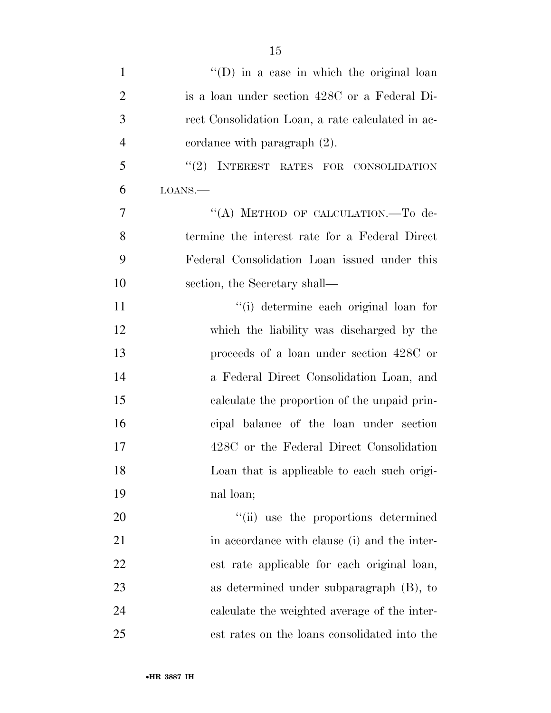| $\mathbf{1}$   | $\lq\lq$ (D) in a case in which the original loan |
|----------------|---------------------------------------------------|
| $\overline{2}$ | is a loan under section 428C or a Federal Di-     |
| 3              | rect Consolidation Loan, a rate calculated in ac- |
| $\overline{4}$ | cordance with paragraph (2).                      |
| 5              | "(2) INTEREST RATES FOR CONSOLIDATION             |
| 6              | LOANS.                                            |
| $\overline{7}$ | "(A) METHOD OF CALCULATION.-To de-                |
| 8              | termine the interest rate for a Federal Direct    |
| 9              | Federal Consolidation Loan issued under this      |
| 10             | section, the Secretary shall—                     |
| 11             | "(i) determine each original loan for             |
| 12             | which the liability was discharged by the         |
| 13             | proceeds of a loan under section 428C or          |
| 14             | a Federal Direct Consolidation Loan, and          |
| 15             | calculate the proportion of the unpaid prin-      |
| 16             | cipal balance of the loan under section           |
| 17             | 428C or the Federal Direct Consolidation          |
| 18             | Loan that is applicable to each such origi-       |
| 19             | nal loan;                                         |
| 20             | "(ii) use the proportions determined              |
| 21             | in accordance with clause (i) and the inter-      |
| 22             | est rate applicable for each original loan,       |
| 23             | as determined under subparagraph $(B)$ , to       |
| 24             | calculate the weighted average of the inter-      |
| 25             | est rates on the loans consolidated into the      |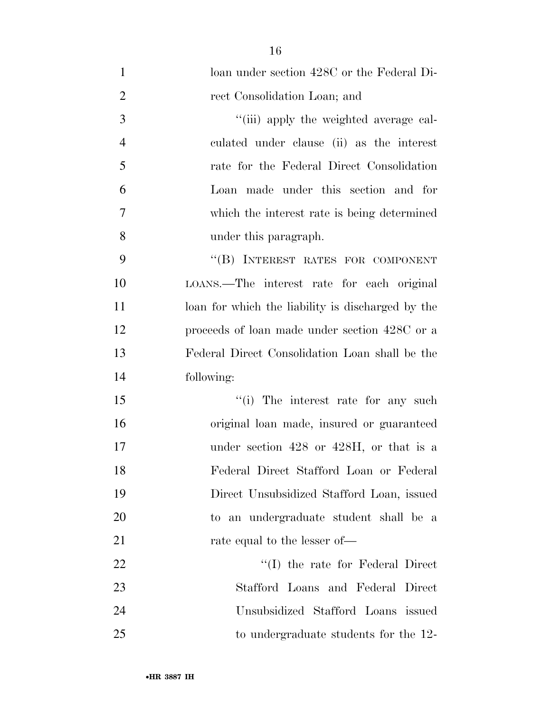1 loan under section 428C or the Federal Di- rect Consolidation Loan; and  $\frac{1}{\text{(iii)}}$  apply the weighted average cal- culated under clause (ii) as the interest rate for the Federal Direct Consolidation Loan made under this section and for which the interest rate is being determined under this paragraph. 9 "(B) INTEREST RATES FOR COMPONENT LOANS.—The interest rate for each original 11 loan for which the liability is discharged by the proceeds of loan made under section 428C or a Federal Direct Consolidation Loan shall be the following: 15 ''(i) The interest rate for any such original loan made, insured or guaranteed 17 under section 428 or 428H, or that is a Federal Direct Stafford Loan or Federal Direct Unsubsidized Stafford Loan, issued to an undergraduate student shall be a 21 rate equal to the lesser of— 22 ''(I) the rate for Federal Direct Stafford Loans and Federal Direct Unsubsidized Stafford Loans issued to undergraduate students for the 12-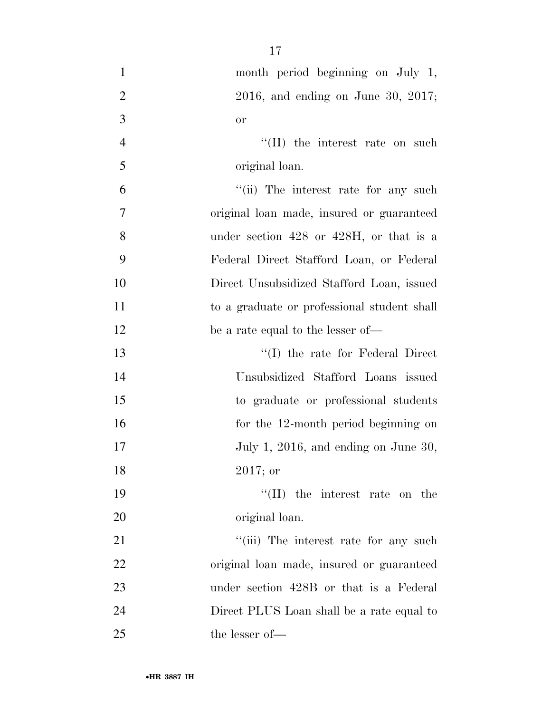| $\mathbf{1}$   | month period beginning on July 1,            |
|----------------|----------------------------------------------|
| $\overline{2}$ | $2016$ , and ending on June 30, $2017$ ;     |
| 3              | <b>or</b>                                    |
| $\overline{4}$ | $\lq\lq$ (II) the interest rate on such      |
| 5              | original loan.                               |
| 6              | "(ii) The interest rate for any such         |
| 7              | original loan made, insured or guaranteed    |
| 8              | under section $428$ or $428H$ , or that is a |
| 9              | Federal Direct Stafford Loan, or Federal     |
| 10             | Direct Unsubsidized Stafford Loan, issued    |
| 11             | to a graduate or professional student shall  |
| 12             | be a rate equal to the lesser of—            |
| 13             | $\lq\lq$ the rate for Federal Direct         |
| 14             | Unsubsidized Stafford Loans issued           |
| 15             | to graduate or professional students         |
| 16             | for the 12-month period beginning on         |
| 17             | July 1, 2016, and ending on June 30,         |
| 18             | $2017;$ or                                   |
| 19             | $\lq\lq$ (II) the interest rate on the       |
| 20             | original loan.                               |
| 21             | "(iii) The interest rate for any such        |
| 22             | original loan made, insured or guaranteed    |
| 23             | under section 428B or that is a Federal      |
| 24             | Direct PLUS Loan shall be a rate equal to    |
| 25             | the lesser of-                               |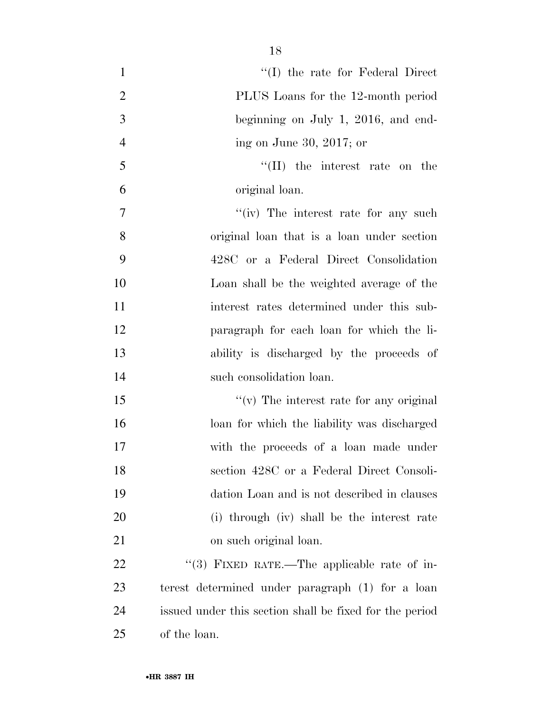| $\mathbf{1}$   | $\lq\lq$ (I) the rate for Federal Direct                |
|----------------|---------------------------------------------------------|
| $\overline{2}$ | PLUS Loans for the 12-month period                      |
| 3              | beginning on July 1, 2016, and end-                     |
| $\overline{4}$ | ing on June 30, 2017; or                                |
| 5              | $\lq\lq$ (II) the interest rate on the                  |
| 6              | original loan.                                          |
| $\overline{7}$ | "(iv) The interest rate for any such                    |
| 8              | original loan that is a loan under section              |
| 9              | 428C or a Federal Direct Consolidation                  |
| 10             | Loan shall be the weighted average of the               |
| 11             | interest rates determined under this sub-               |
| 12             | paragraph for each loan for which the li-               |
| 13             | ability is discharged by the proceeds of                |
| 14             | such consolidation loan.                                |
| 15             | $\lq\lq$ The interest rate for any original             |
| 16             | loan for which the liability was discharged             |
| 17             | with the proceeds of a loan made under                  |
| 18             | section 428C or a Federal Direct Consoli-               |
| 19             | dation Loan and is not described in clauses             |
| 20             | (i) through (iv) shall be the interest rate             |
| 21             | on such original loan.                                  |
| 22             | "(3) FIXED RATE.—The applicable rate of in-             |
| 23             | terest determined under paragraph (1) for a loan        |
| 24             | issued under this section shall be fixed for the period |
| 25             | of the loan.                                            |
|                |                                                         |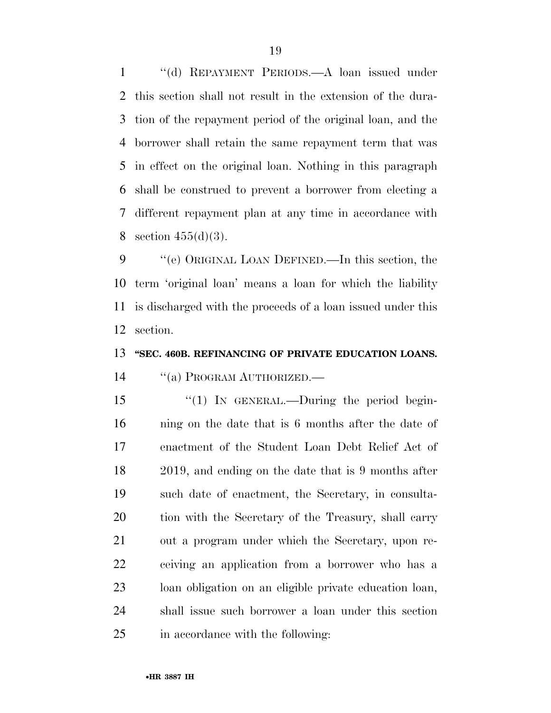''(d) REPAYMENT PERIODS.—A loan issued under this section shall not result in the extension of the dura- tion of the repayment period of the original loan, and the borrower shall retain the same repayment term that was in effect on the original loan. Nothing in this paragraph shall be construed to prevent a borrower from electing a different repayment plan at any time in accordance with 8 section  $455(d)(3)$ .

 ''(e) ORIGINAL LOAN DEFINED.—In this section, the term 'original loan' means a loan for which the liability is discharged with the proceeds of a loan issued under this section.

### **''SEC. 460B. REFINANCING OF PRIVATE EDUCATION LOANS.**

14 "(a) PROGRAM AUTHORIZED.—

15 "(1) In GENERAL.—During the period begin- ning on the date that is 6 months after the date of enactment of the Student Loan Debt Relief Act of 2019, and ending on the date that is 9 months after such date of enactment, the Secretary, in consulta- tion with the Secretary of the Treasury, shall carry out a program under which the Secretary, upon re- ceiving an application from a borrower who has a loan obligation on an eligible private education loan, shall issue such borrower a loan under this section in accordance with the following: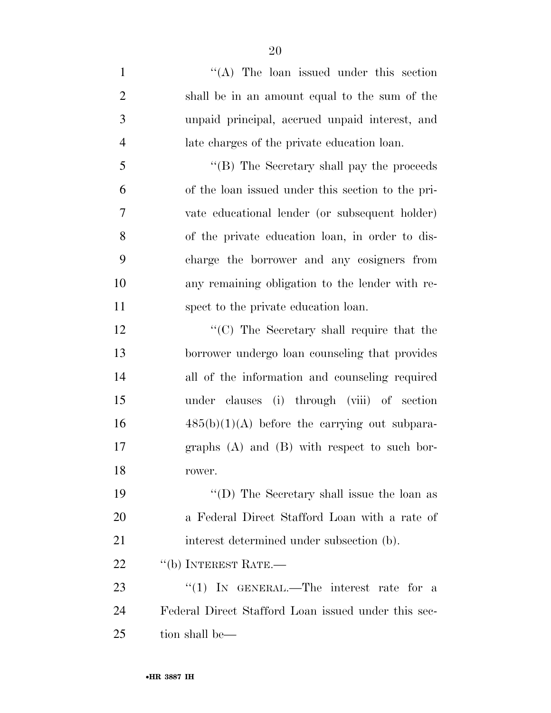| $\mathbf{1}$   | "(A) The loan issued under this section             |
|----------------|-----------------------------------------------------|
| $\overline{2}$ | shall be in an amount equal to the sum of the       |
| 3              | unpaid principal, accrued unpaid interest, and      |
| $\overline{4}$ | late charges of the private education loan.         |
| 5              | $\lq\lq$ (B) The Secretary shall pay the proceeds   |
| 6              | of the loan issued under this section to the pri-   |
| 7              | vate educational lender (or subsequent holder)      |
| 8              | of the private education loan, in order to dis-     |
| 9              | charge the borrower and any cosigners from          |
| 10             | any remaining obligation to the lender with re-     |
| 11             | spect to the private education loan.                |
| 12             | $\lq\lq$ (C) The Secretary shall require that the   |
| 13             | borrower undergo loan counseling that provides      |
| 14             | all of the information and counseling required      |
| 15             | under clauses (i) through (viii) of section         |
| 16             | $485(b)(1)(A)$ before the carrying out subpara-     |
| 17             | graphs $(A)$ and $(B)$ with respect to such bor-    |
| 18             | rower.                                              |
| 19             | "(D) The Secretary shall issue the loan as          |
| <b>20</b>      | a Federal Direct Stafford Loan with a rate of       |
| 21             | interest determined under subsection (b).           |
| 22             | "(b) INTEREST RATE.—                                |
| 23             | "(1) IN GENERAL.—The interest rate for a            |
| 24             | Federal Direct Stafford Loan issued under this sec- |
| 25             | tion shall be—                                      |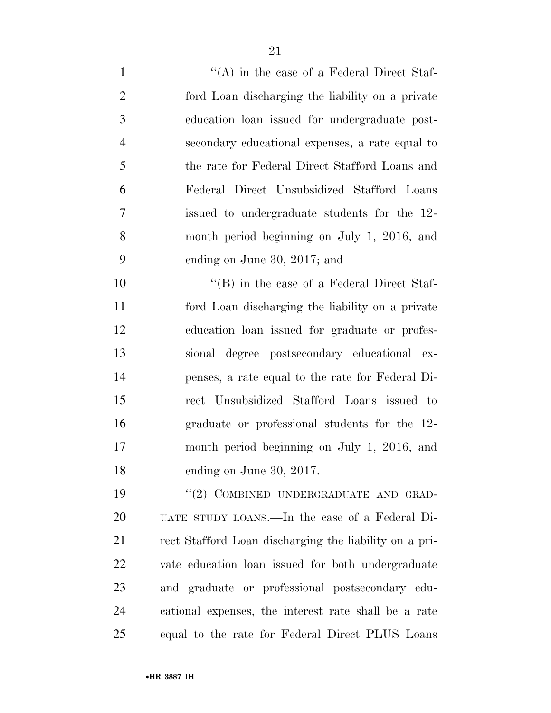| $\mathbf{1}$   | $\lq\lq$ in the case of a Federal Direct Staf-         |
|----------------|--------------------------------------------------------|
| $\overline{2}$ | ford Loan discharging the liability on a private       |
| 3              | education loan issued for undergraduate post-          |
| $\overline{4}$ | secondary educational expenses, a rate equal to        |
| 5              | the rate for Federal Direct Stafford Loans and         |
| 6              | Federal Direct Unsubsidized Stafford Loans             |
| 7              | issued to undergraduate students for the 12-           |
| 8              | month period beginning on July 1, 2016, and            |
| 9              | ending on June 30, 2017; and                           |
| 10             | $\lq\lq (B)$ in the case of a Federal Direct Staf-     |
| 11             | ford Loan discharging the liability on a private       |
| 12             | education loan issued for graduate or profes-          |
| 13             | sional degree postsecondary educational ex-            |
| 14             | penses, a rate equal to the rate for Federal Di-       |
| 15             | rect Unsubsidized Stafford Loans issued to             |
| 16             | graduate or professional students for the 12-          |
| 17             | month period beginning on July 1, 2016, and            |
| 18             | ending on June 30, 2017.                               |
| 19             | "(2) COMBINED UNDERGRADUATE AND GRAD-                  |
| 20             | UATE STUDY LOANS.—In the case of a Federal Di-         |
| 21             | rect Stafford Loan discharging the liability on a pri- |
| 22             | vate education loan issued for both undergraduate      |
| 23             | and graduate or professional postsecondary edu-        |
| 24             | cational expenses, the interest rate shall be a rate   |
| 25             | equal to the rate for Federal Direct PLUS Loans        |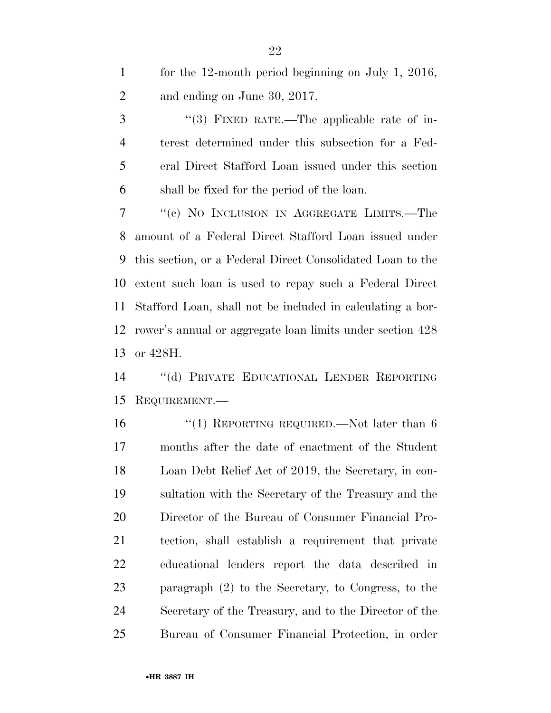| $\mathbf{1}$ | for the 12-month period beginning on July 1, 2016, |
|--------------|----------------------------------------------------|
| 2            | and ending on June 30, 2017.                       |
| 3            | $\lq(3)$ FIXED RATE.—The applicable rate of in-    |
|              |                                                    |

 terest determined under this subsection for a Fed- eral Direct Stafford Loan issued under this section shall be fixed for the period of the loan.

 ''(c) NO INCLUSION IN AGGREGATE LIMITS.—The amount of a Federal Direct Stafford Loan issued under this section, or a Federal Direct Consolidated Loan to the extent such loan is used to repay such a Federal Direct Stafford Loan, shall not be included in calculating a bor- rower's annual or aggregate loan limits under section 428 or 428H.

 ''(d) PRIVATE EDUCATIONAL LENDER REPORTING REQUIREMENT.—

16 "(1) REPORTING REQUIRED.—Not later than 6 months after the date of enactment of the Student Loan Debt Relief Act of 2019, the Secretary, in con- sultation with the Secretary of the Treasury and the Director of the Bureau of Consumer Financial Pro- tection, shall establish a requirement that private educational lenders report the data described in paragraph (2) to the Secretary, to Congress, to the Secretary of the Treasury, and to the Director of the Bureau of Consumer Financial Protection, in order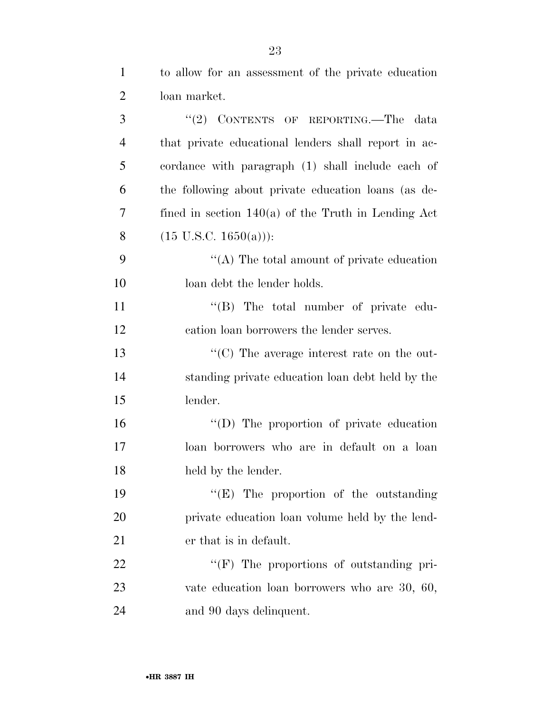| $\mathbf{1}$   | to allow for an assessment of the private education   |
|----------------|-------------------------------------------------------|
| $\overline{2}$ | loan market.                                          |
| 3              | "(2) CONTENTS OF REPORTING.—The<br>data               |
| $\overline{4}$ | that private educational lenders shall report in ac-  |
| 5              | cordance with paragraph (1) shall include each of     |
| 6              | the following about private education loans (as de-   |
| 7              | fined in section $140(a)$ of the Truth in Lending Act |
| 8              | $(15 \text{ U.S.C. } 1650(a))$ :                      |
| 9              | "(A) The total amount of private education            |
| 10             | loan debt the lender holds.                           |
| 11             | $\lq\lq$ (B) The total number of private edu-         |
| 12             | cation loan borrowers the lender serves.              |
| 13             | $\lq\lq$ (C) The average interest rate on the out-    |
| 14             | standing private education loan debt held by the      |
| 15             | lender.                                               |
| 16             | "(D) The proportion of private education              |
| 17             | loan borrowers who are in default on a loan           |
| 18             | held by the lender.                                   |
| 19             | $\lq\lq(E)$ The proportion of the outstanding         |
| 20             | private education loan volume held by the lend-       |
| 21             | er that is in default.                                |
| 22             | $\lq\lq(F)$ The proportions of outstanding pri-       |
| 23             | vate education loan borrowers who are 30, 60,         |
| 24             | and 90 days delinquent.                               |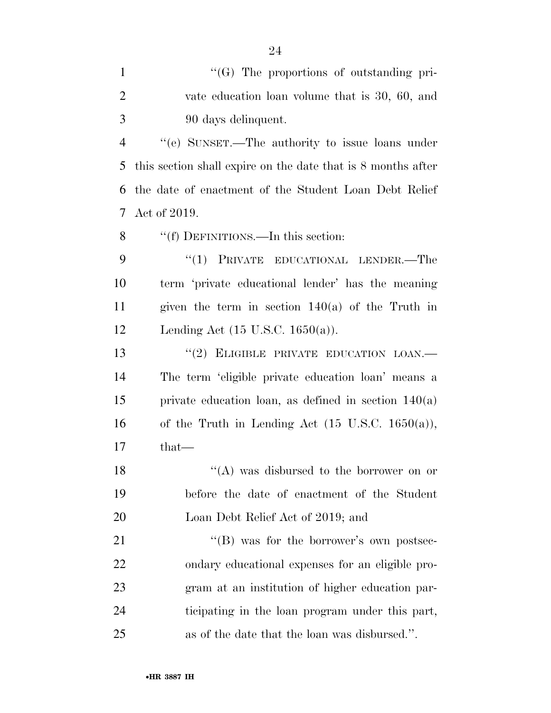| $\mathbf{1}$   | "(G) The proportions of outstanding pri-                     |
|----------------|--------------------------------------------------------------|
| $\overline{2}$ | vate education loan volume that is 30, 60, and               |
| 3              | 90 days delinquent.                                          |
| $\overline{4}$ | "(e) SUNSET.—The authority to issue loans under              |
| 5              | this section shall expire on the date that is 8 months after |
| 6              | the date of enactment of the Student Loan Debt Relief        |
| 7              | Act of 2019.                                                 |
| 8              | "(f) DEFINITIONS.—In this section:                           |
| 9              | "(1) PRIVATE EDUCATIONAL LENDER.—The                         |
| 10             | term 'private educational lender' has the meaning            |
| 11             | given the term in section $140(a)$ of the Truth in           |
| 12             | Lending Act $(15 \text{ U.S.C. } 1650(a))$ .                 |
| 13             | "(2) ELIGIBLE PRIVATE EDUCATION LOAN.-                       |
| 14             | The term 'eligible private education loan' means a           |
| 15             | private education loan, as defined in section $140(a)$       |
| 16             | of the Truth in Lending Act $(15 \text{ U.S.C. } 1650(a)),$  |
| 17             | that—                                                        |
| 18             | "(A) was disbursed to the borrower on or                     |
| 19             | before the date of enactment of the Student                  |
| 20             | Loan Debt Relief Act of 2019; and                            |
| 21             | "(B) was for the borrower's own postsec-                     |
| 22             | ondary educational expenses for an eligible pro-             |
| 23             | gram at an institution of higher education par-              |
| 24             | ticipating in the loan program under this part,              |
| 25             | as of the date that the loan was disbursed.".                |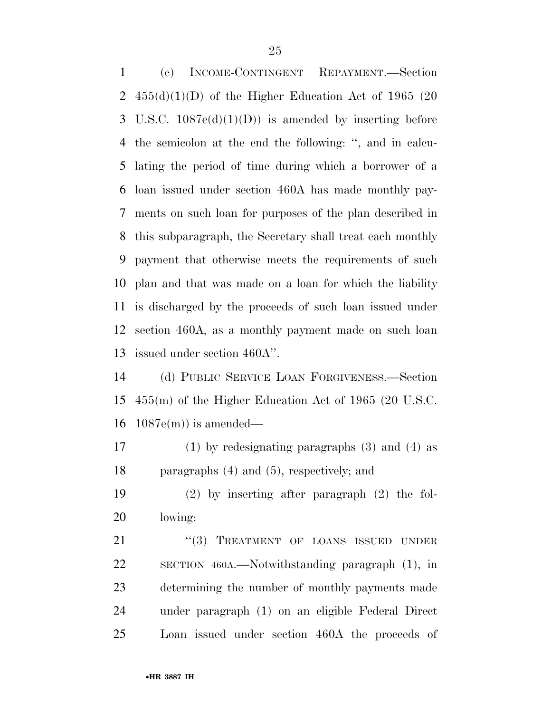(c) INCOME-CONTINGENT REPAYMENT.—Section  $455(d)(1)(D)$  of the Higher Education Act of 1965 (20 3 U.S.C.  $1087e(d)(1)(D)$  is amended by inserting before the semicolon at the end the following: '', and in calcu- lating the period of time during which a borrower of a loan issued under section 460A has made monthly pay- ments on such loan for purposes of the plan described in this subparagraph, the Secretary shall treat each monthly payment that otherwise meets the requirements of such plan and that was made on a loan for which the liability is discharged by the proceeds of such loan issued under section 460A, as a monthly payment made on such loan issued under section 460A''.

 (d) PUBLIC SERVICE LOAN FORGIVENESS.—Section 455(m) of the Higher Education Act of 1965 (20 U.S.C. 16  $1087e(m)$  is amended—

 (1) by redesignating paragraphs (3) and (4) as paragraphs (4) and (5), respectively; and

 (2) by inserting after paragraph (2) the fol-lowing:

21 "(3) TREATMENT OF LOANS ISSUED UNDER SECTION 460A.—Notwithstanding paragraph (1), in determining the number of monthly payments made under paragraph (1) on an eligible Federal Direct Loan issued under section 460A the proceeds of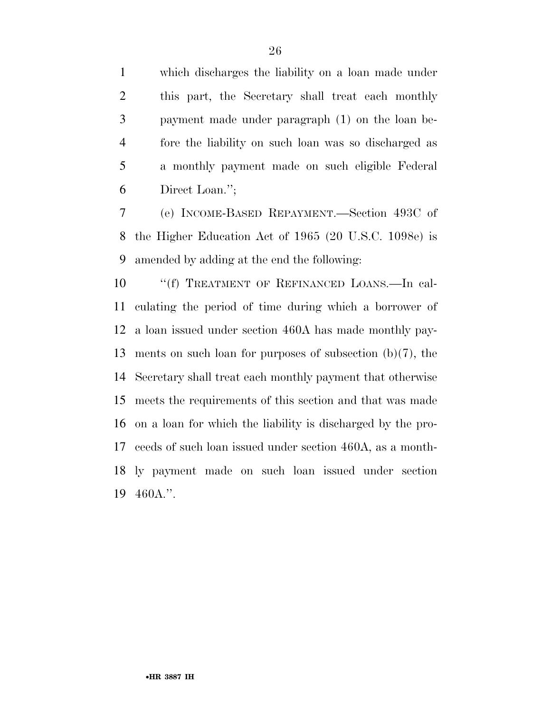which discharges the liability on a loan made under this part, the Secretary shall treat each monthly payment made under paragraph (1) on the loan be- fore the liability on such loan was so discharged as a monthly payment made on such eligible Federal Direct Loan.'';

 (e) INCOME-BASED REPAYMENT.—Section 493C of the Higher Education Act of 1965 (20 U.S.C. 1098e) is amended by adding at the end the following:

10 <sup>"</sup>(f) TREATMENT OF REFINANCED LOANS.—In cal- culating the period of time during which a borrower of a loan issued under section 460A has made monthly pay- ments on such loan for purposes of subsection (b)(7), the Secretary shall treat each monthly payment that otherwise meets the requirements of this section and that was made on a loan for which the liability is discharged by the pro- ceeds of such loan issued under section 460A, as a month- ly payment made on such loan issued under section 460A.''.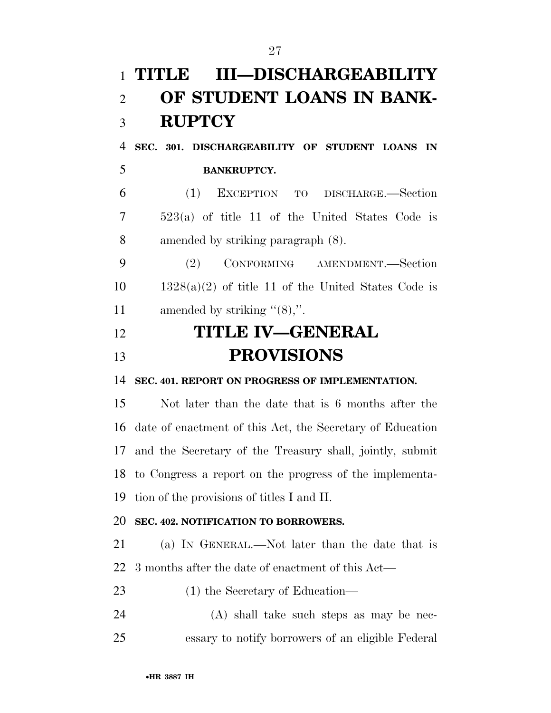# **TITLE III—DISCHARGEABILITY OF STUDENT LOANS IN BANK- RUPTCY SEC. 301. DISCHARGEABILITY OF STUDENT LOANS IN BANKRUPTCY.**  (1) EXCEPTION TO DISCHARGE.—Section 523(a) of title 11 of the United States Code is amended by striking paragraph (8). (2) CONFORMING AMENDMENT.—Section  $10 \qquad 1328(a)(2)$  of title 11 of the United States Code is 11 amended by striking "(8),". **TITLE IV—GENERAL PROVISIONS SEC. 401. REPORT ON PROGRESS OF IMPLEMENTATION.**  Not later than the date that is 6 months after the date of enactment of this Act, the Secretary of Education and the Secretary of the Treasury shall, jointly, submit to Congress a report on the progress of the implementa- tion of the provisions of titles I and II. **SEC. 402. NOTIFICATION TO BORROWERS.**  (a) IN GENERAL.—Not later than the date that is 3 months after the date of enactment of this Act— (1) the Secretary of Education— (A) shall take such steps as may be nec-essary to notify borrowers of an eligible Federal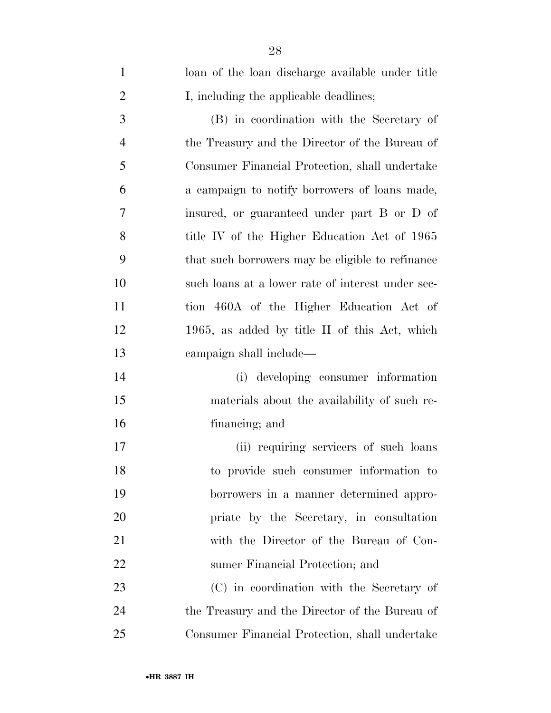| $\mathbf{1}$   | loan of the loan discharge available under title  |
|----------------|---------------------------------------------------|
| $\overline{2}$ | I, including the applicable deadlines;            |
| 3              | (B) in coordination with the Secretary of         |
| $\overline{4}$ | the Treasury and the Director of the Bureau of    |
| 5              | Consumer Financial Protection, shall undertake    |
| 6              | a campaign to notify borrowers of loans made,     |
| 7              | insured, or guaranteed under part B or D of       |
| 8              | title IV of the Higher Education Act of 1965      |
| 9              | that such borrowers may be eligible to refinance  |
| 10             | such loans at a lower rate of interest under sec- |
| 11             | tion 460A of the Higher Education Act of          |
| 12             | 1965, as added by title II of this Act, which     |
| 13             | campaign shall include—                           |
| 14             | (i) developing consumer information               |
| 15             | materials about the availability of such re-      |
| 16             | financing; and                                    |
| 17             | (ii) requiring servicers of such loans            |
| 18             | to provide such consumer information to           |
| 19             | borrowers in a manner determined appro-           |
| 20             | priate by the Secretary, in consultation          |
| 21             | with the Director of the Bureau of Con-           |
| 22             | sumer Financial Protection; and                   |
| 23             | (C) in coordination with the Secretary of         |
| 24             | the Treasury and the Director of the Bureau of    |
| 25             | Consumer Financial Protection, shall undertake    |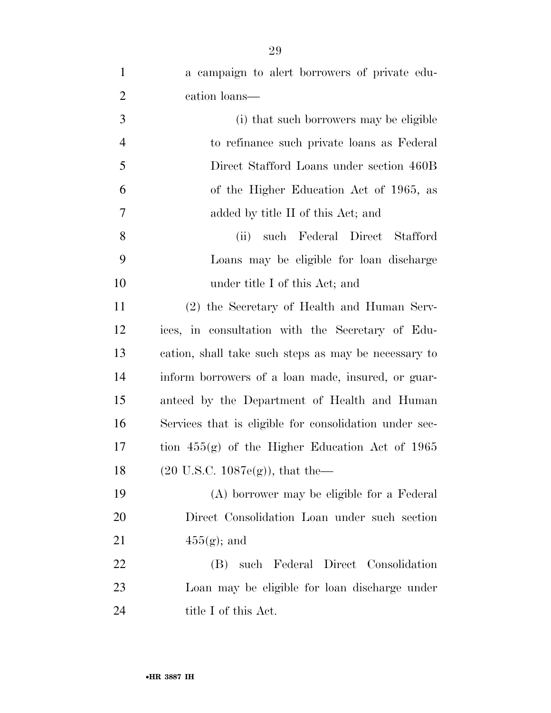| $\mathbf{1}$   | a campaign to alert borrowers of private edu-          |
|----------------|--------------------------------------------------------|
| $\overline{2}$ | cation loans—                                          |
| 3              | (i) that such borrowers may be eligible                |
| $\overline{4}$ | to refinance such private loans as Federal             |
| 5              | Direct Stafford Loans under section 460B               |
| 6              | of the Higher Education Act of 1965, as                |
| $\tau$         | added by title II of this Act; and                     |
| 8              | (ii)<br>such Federal Direct Stafford                   |
| 9              | Loans may be eligible for loan discharge               |
| 10             | under title I of this Act; and                         |
| 11             | (2) the Secretary of Health and Human Serv-            |
| 12             | ices, in consultation with the Secretary of Edu-       |
| 13             | cation, shall take such steps as may be necessary to   |
| 14             | inform borrowers of a loan made, insured, or guar-     |
| 15             | anteed by the Department of Health and Human           |
| 16             | Services that is eligible for consolidation under sec- |
| 17             | tion $455(g)$ of the Higher Education Act of 1965      |
| 18             | $(20 \text{ U.S.C. } 1087e(g))$ , that the—            |
| 19             | (A) borrower may be eligible for a Federal             |
| 20             | Direct Consolidation Loan under such section           |
| 21             | $455(g)$ ; and                                         |
| 22             | such Federal Direct Consolidation<br>(B)               |
| 23             | Loan may be eligible for loan discharge under          |
| 24             | title I of this Act.                                   |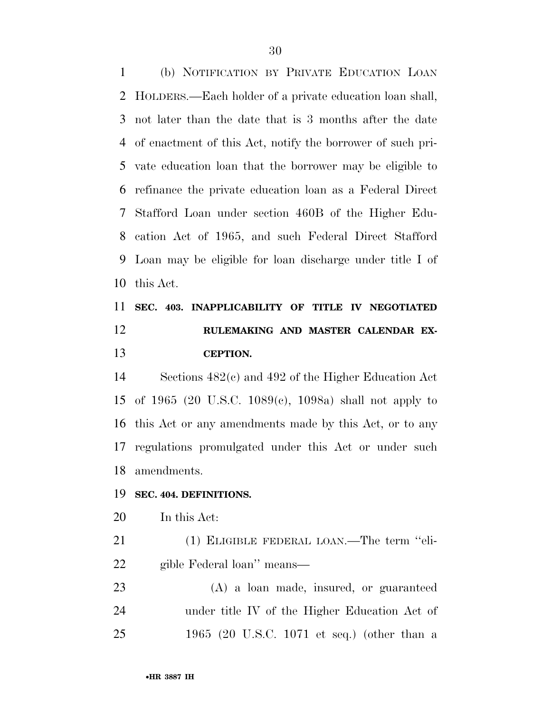(b) NOTIFICATION BY PRIVATE EDUCATION LOAN HOLDERS.—Each holder of a private education loan shall, not later than the date that is 3 months after the date of enactment of this Act, notify the borrower of such pri- vate education loan that the borrower may be eligible to refinance the private education loan as a Federal Direct Stafford Loan under section 460B of the Higher Edu- cation Act of 1965, and such Federal Direct Stafford Loan may be eligible for loan discharge under title I of this Act.

 **SEC. 403. INAPPLICABILITY OF TITLE IV NEGOTIATED RULEMAKING AND MASTER CALENDAR EX-CEPTION.** 

 Sections 482(c) and 492 of the Higher Education Act of 1965 (20 U.S.C. 1089(c), 1098a) shall not apply to this Act or any amendments made by this Act, or to any regulations promulgated under this Act or under such amendments.

### **SEC. 404. DEFINITIONS.**

In this Act:

 (1) ELIGIBLE FEDERAL LOAN.—The term ''eli-gible Federal loan'' means—

 (A) a loan made, insured, or guaranteed under title IV of the Higher Education Act of 1965 (20 U.S.C. 1071 et seq.) (other than a